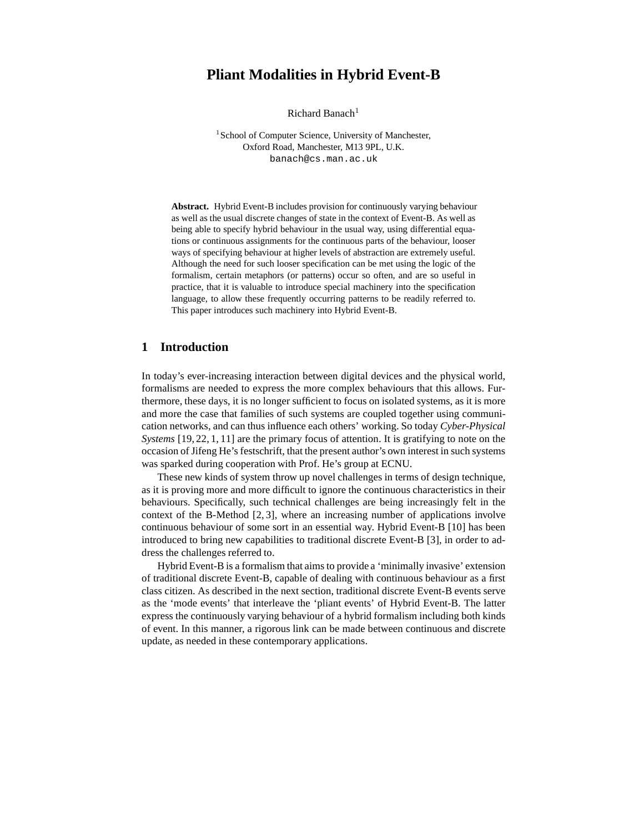# **Pliant Modalities in Hybrid Event-B**

Richard Banach<sup>1</sup>

<sup>1</sup> School of Computer Science, University of Manchester, Oxford Road, Manchester, M13 9PL, U.K. banach@cs.man.ac.uk

**Abstract.** Hybrid Event-B includes provision for continuously varying behaviour as well as the usual discrete changes of state in the context of Event-B. As well as being able to specify hybrid behaviour in the usual way, using differential equations or continuous assignments for the continuous parts of the behaviour, looser ways of specifying behaviour at higher levels of abstraction are extremely useful. Although the need for such looser specification can be met using the logic of the formalism, certain metaphors (or patterns) occur so often, and are so useful in practice, that it is valuable to introduce special machinery into the specification language, to allow these frequently occurring patterns to be readily referred to. This paper introduces such machinery into Hybrid Event-B.

## **1 Introduction**

In today's ever-increasing interaction between digital devices and the physical world, formalisms are needed to express the more complex behaviours that this allows. Furthermore, these days, it is no longer sufficient to focus on isolated systems, as it is more and more the case that families of such systems are coupled together using communication networks, and can thus influence each others' working. So today *Cyber-Physical Systems* [19, 22, 1, 11] are the primary focus of attention. It is gratifying to note on the occasion of Jifeng He's festschrift, that the present author's own interest in such systems was sparked during cooperation with Prof. He's group at ECNU.

These new kinds of system throw up novel challenges in terms of design technique, as it is proving more and more difficult to ignore the continuous characteristics in their behaviours. Specifically, such technical challenges are being increasingly felt in the context of the B-Method [2, 3], where an increasing number of applications involve continuous behaviour of some sort in an essential way. Hybrid Event-B [10] has been introduced to bring new capabilities to traditional discrete Event-B [3], in order to address the challenges referred to.

Hybrid Event-B is a formalism that aims to provide a 'minimally invasive' extension of traditional discrete Event-B, capable of dealing with continuous behaviour as a first class citizen. As described in the next section, traditional discrete Event-B events serve as the 'mode events' that interleave the 'pliant events' of Hybrid Event-B. The latter express the continuously varying behaviour of a hybrid formalism including both kinds of event. In this manner, a rigorous link can be made between continuous and discrete update, as needed in these contemporary applications.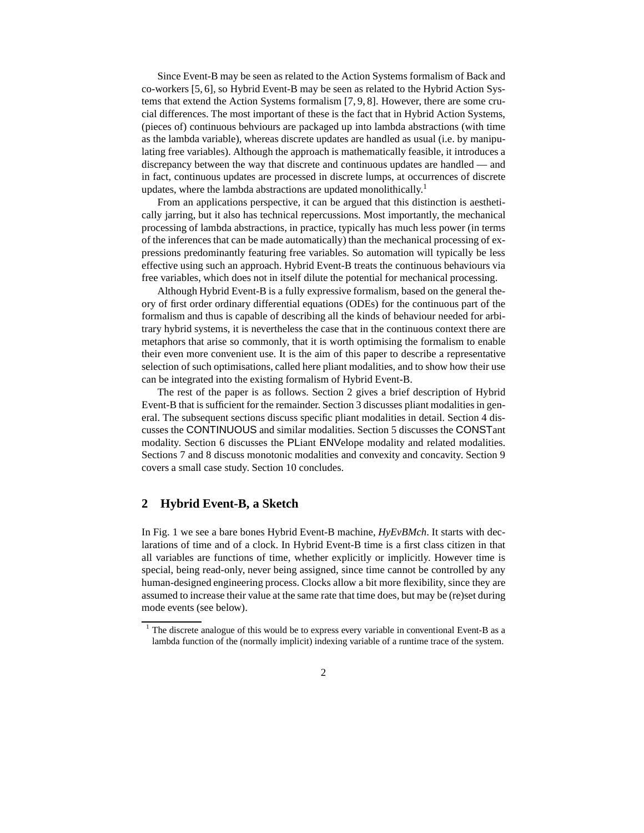Since Event-B may be seen as related to the Action Systems formalism of Back and co-workers [5, 6], so Hybrid Event-B may be seen as related to the Hybrid Action Systems that extend the Action Systems formalism [7, 9, 8]. However, there are some crucial differences. The most important of these is the fact that in Hybrid Action Systems, (pieces of) continuous behviours are packaged up into lambda abstractions (with time as the lambda variable), whereas discrete updates are handled as usual (i.e. by manipulating free variables). Although the approach is mathematically feasible, it introduces a discrepancy between the way that discrete and continuous updates are handled — and in fact, continuous updates are processed in discrete lumps, at occurrences of discrete updates, where the lambda abstractions are updated monolithically.<sup>1</sup>

From an applications perspective, it can be argued that this distinction is aesthetically jarring, but it also has technical repercussions. Most importantly, the mechanical processing of lambda abstractions, in practice, typically has much less power (in terms of the inferences that can be made automatically) than the mechanical processing of expressions predominantly featuring free variables. So automation will typically be less effective using such an approach. Hybrid Event-B treats the continuous behaviours via free variables, which does not in itself dilute the potential for mechanical processing.

Although Hybrid Event-B is a fully expressive formalism, based on the general theory of first order ordinary differential equations (ODEs) for the continuous part of the formalism and thus is capable of describing all the kinds of behaviour needed for arbitrary hybrid systems, it is nevertheless the case that in the continuous context there are metaphors that arise so commonly, that it is worth optimising the formalism to enable their even more convenient use. It is the aim of this paper to describe a representative selection of such optimisations, called here pliant modalities, and to show how their use can be integrated into the existing formalism of Hybrid Event-B.

The rest of the paper is as follows. Section 2 gives a brief description of Hybrid Event-B that is sufficient for the remainder. Section 3 discusses pliant modalities in general. The subsequent sections discuss specific pliant modalities in detail. Section 4 discusses the CONTINUOUS and similar modalities. Section 5 discusses the CONSTant modality. Section 6 discusses the PLiant ENVelope modality and related modalities. Sections 7 and 8 discuss monotonic modalities and convexity and concavity. Section 9 covers a small case study. Section 10 concludes.

### **2 Hybrid Event-B, a Sketch**

In Fig. 1 we see a bare bones Hybrid Event-B machine, *HyEvBMch*. It starts with declarations of time and of a clock. In Hybrid Event-B time is a first class citizen in that all variables are functions of time, whether explicitly or implicitly. However time is special, being read-only, never being assigned, since time cannot be controlled by any human-designed engineering process. Clocks allow a bit more flexibility, since they are assumed to increase their value at the same rate that time does, but may be (re)set during mode events (see below).

<sup>&</sup>lt;sup>1</sup> The discrete analogue of this would be to express every variable in conventional Event-B as a lambda function of the (normally implicit) indexing variable of a runtime trace of the system.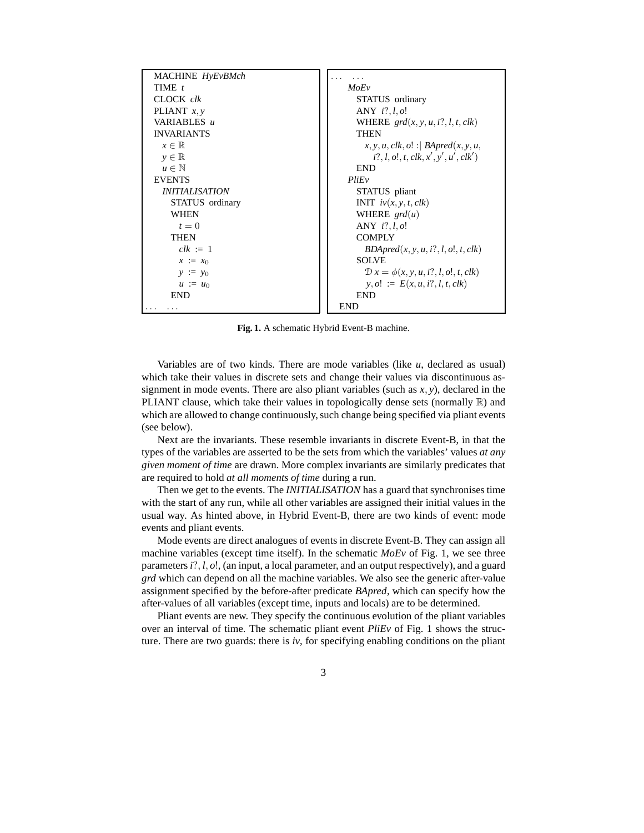| MACHINE HyEvBMch             |                                                            |  |
|------------------------------|------------------------------------------------------------|--|
| TIME t                       | MoEv                                                       |  |
| CLOCK clk                    | STATUS ordinary                                            |  |
| PLIANT $x, y$                | ANY $i?, l, o!$                                            |  |
| VARIABLES u                  | WHERE $\text{grd}(x, y, u, i?, l, t, clk)$                 |  |
| <b>INVARIANTS</b>            | <b>THEN</b>                                                |  |
| $x \in \mathbb{R}$           | $x, y, u, c$ lk, o! :   BApred $(x, y, u,$                 |  |
| $v \in \mathbb{R}$           | $i?, l, o!, t, c\n  k, x', y', u', c\n  lk')$              |  |
| $u \in \mathbb{N}$           | <b>END</b>                                                 |  |
| <b>EVENTS</b>                | PliEv                                                      |  |
| <i><b>INITIALISATION</b></i> | STATUS pliant                                              |  |
| STATUS ordinary              | INIT $iv(x, y, t, c\mathbf{lk})$                           |  |
| <b>WHEN</b>                  | WHERE $\text{grd}(u)$                                      |  |
| $t=0$                        | ANY $i?, l, o!$                                            |  |
| <b>THEN</b>                  | <b>COMPLY</b>                                              |  |
| $clk := 1$                   | BDApred(x, y, u, i?, l, o!, t, clk)                        |  |
| $x := x_0$                   | <b>SOLVE</b>                                               |  |
| $y := y_0$                   | $\mathcal{D} x = \phi(x, y, u, i?, l, o!, t, c\mathbb{R})$ |  |
| $u := u_0$                   | $y, o! := E(x, u, i?, l, t, clk)$                          |  |
| END                          | <b>END</b>                                                 |  |
|                              | <b>END</b>                                                 |  |

**Fig. 1.** A schematic Hybrid Event-B machine.

Variables are of two kinds. There are mode variables (like *u*, declared as usual) which take their values in discrete sets and change their values via discontinuous assignment in mode events. There are also pliant variables (such as *x*, *y*), declared in the PLIANT clause, which take their values in topologically dense sets (normally  $\mathbb{R}$ ) and which are allowed to change continuously, such change being specified via pliant events (see below).

Next are the invariants. These resemble invariants in discrete Event-B, in that the types of the variables are asserted to be the sets from which the variables' values *at any given moment of time* are drawn. More complex invariants are similarly predicates that are required to hold *at all moments of time* during a run.

Then we get to the events. The *INITIALISATION* has a guard that synchronises time with the start of any run, while all other variables are assigned their initial values in the usual way. As hinted above, in Hybrid Event-B, there are two kinds of event: mode events and pliant events.

Mode events are direct analogues of events in discrete Event-B. They can assign all machine variables (except time itself). In the schematic *MoEv* of Fig. 1, we see three parameters*i*?, *l*, *o*!, (an input, a local parameter, and an output respectively), and a guard *grd* which can depend on all the machine variables. We also see the generic after-value assignment specified by the before-after predicate *BApred*, which can specify how the after-values of all variables (except time, inputs and locals) are to be determined.

Pliant events are new. They specify the continuous evolution of the pliant variables over an interval of time. The schematic pliant event *PliEv* of Fig. 1 shows the structure. There are two guards: there is *iv*, for specifying enabling conditions on the pliant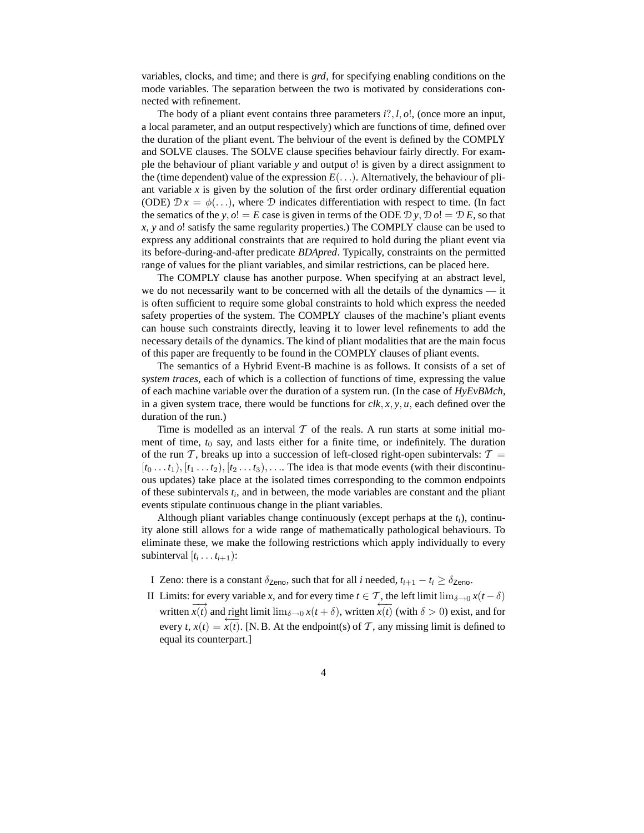variables, clocks, and time; and there is *grd*, for specifying enabling conditions on the mode variables. The separation between the two is motivated by considerations connected with refinement.

The body of a pliant event contains three parameters *i*?, *l*, *o*!, (once more an input, a local parameter, and an output respectively) which are functions of time, defined over the duration of the pliant event. The behviour of the event is defined by the COMPLY and SOLVE clauses. The SOLVE clause specifies behaviour fairly directly. For example the behaviour of pliant variable *y* and output *o*! is given by a direct assignment to the (time dependent) value of the expression  $E(\ldots)$ . Alternatively, the behaviour of pliant variable  $x$  is given by the solution of the first order ordinary differential equation (ODE)  $\mathcal{D} x = \phi(\ldots)$ , where  $\mathcal{D}$  indicates differentiation with respect to time. (In fact the sematics of the *y*,  $o! = E$  case is given in terms of the ODE  $\mathcal{D}y, \mathcal{D}v! = \mathcal{D}E$ , so that *x*, *y* and *o*! satisfy the same regularity properties.) The COMPLY clause can be used to express any additional constraints that are required to hold during the pliant event via its before-during-and-after predicate *BDApred*. Typically, constraints on the permitted range of values for the pliant variables, and similar restrictions, can be placed here.

The COMPLY clause has another purpose. When specifying at an abstract level, we do not necessarily want to be concerned with all the details of the dynamics — it is often sufficient to require some global constraints to hold which express the needed safety properties of the system. The COMPLY clauses of the machine's pliant events can house such constraints directly, leaving it to lower level refinements to add the necessary details of the dynamics. The kind of pliant modalities that are the main focus of this paper are frequently to be found in the COMPLY clauses of pliant events.

The semantics of a Hybrid Event-B machine is as follows. It consists of a set of *system traces*, each of which is a collection of functions of time, expressing the value of each machine variable over the duration of a system run. (In the case of *HyEvBMch*, in a given system trace, there would be functions for *clk*, *x*, *y*, *u*, each defined over the duration of the run.)

Time is modelled as an interval  $T$  of the reals. A run starts at some initial moment of time,  $t_0$  say, and lasts either for a finite time, or indefinitely. The duration of the run T, breaks up into a succession of left-closed right-open subintervals:  $T =$  $[t_0 \ldots t_1), [t_1 \ldots t_2), [t_2 \ldots t_3), \ldots$  The idea is that mode events (with their discontinuous updates) take place at the isolated times corresponding to the common endpoints of these subintervals *t<sup>i</sup>* , and in between, the mode variables are constant and the pliant events stipulate continuous change in the pliant variables.

Although pliant variables change continuously (except perhaps at the *ti*), continuity alone still allows for a wide range of mathematically pathological behaviours. To eliminate these, we make the following restrictions which apply individually to every subinterval  $[t_i \dots t_{i+1})$ :

- I Zeno: there is a constant  $\delta_{\text{Zeno}}$ , such that for all *i* needed,  $t_{i+1} t_i \geq \delta_{\text{Zeno}}$ .
- II Limits: for every variable *x*, and for every time  $t \in \mathcal{T}$ , the left limit  $\lim_{\delta \to 0} x(t \delta)$ written  $\overline{x(t)}$  and right limit lim<sub> $\delta \to 0$ </sub>  $x(t + \delta)$ , written  $\overline{x(t)}$ *x*(*t*) (with  $\delta > 0$ ) exist, and for every *t*,  $x(t) = x(t)$ . [N. B. At the endpoint(s) of T, any missing limit is defined to equal its counterpart.]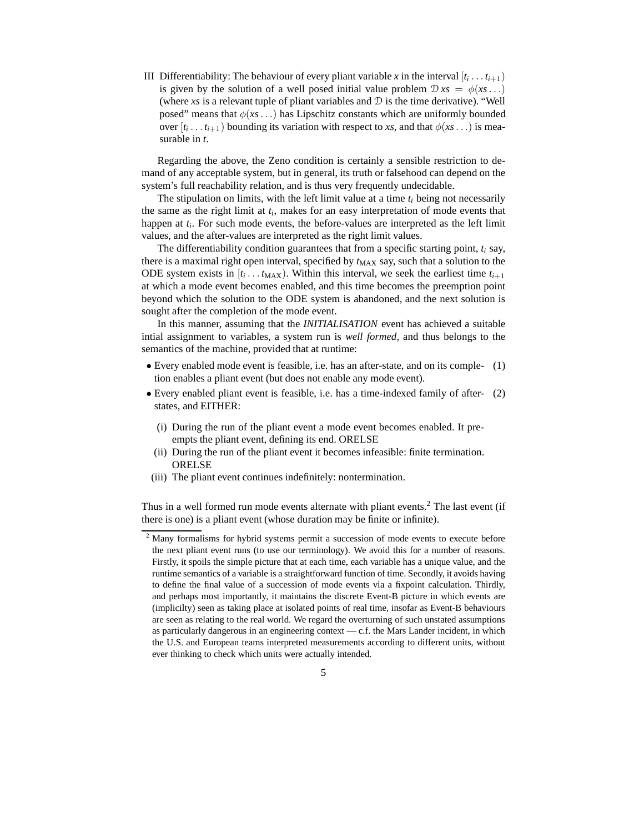III Differentiability: The behaviour of every pliant variable *x* in the interval  $[t_i \dots t_{i+1})$ is given by the solution of a well posed initial value problem  $\mathcal{D}$  *xs* =  $\phi$ (*xs*...) (where  $xs$  is a relevant tuple of pliant variables and  $D$  is the time derivative). "Well posed" means that  $\phi(x_0,\ldots)$  has Lipschitz constants which are uniformly bounded over  $[t_i \dots t_{i+1})$  bounding its variation with respect to *xs*, and that  $\phi(x_s \dots)$  is measurable in *t*.

Regarding the above, the Zeno condition is certainly a sensible restriction to demand of any acceptable system, but in general, its truth or falsehood can depend on the system's full reachability relation, and is thus very frequently undecidable.

The stipulation on limits, with the left limit value at a time *t<sup>i</sup>* being not necessarily the same as the right limit at *t<sup>i</sup>* , makes for an easy interpretation of mode events that happen at  $t_i$ . For such mode events, the before-values are interpreted as the left limit values, and the after-values are interpreted as the right limit values.

The differentiability condition guarantees that from a specific starting point, *t<sup>i</sup>* say, there is a maximal right open interval, specified by  $t_{MAX}$  say, such that a solution to the ODE system exists in  $[t_i \dots t_{MAX})$ . Within this interval, we seek the earliest time  $t_{i+1}$ at which a mode event becomes enabled, and this time becomes the preemption point beyond which the solution to the ODE system is abandoned, and the next solution is sought after the completion of the mode event.

In this manner, assuming that the *INITIALISATION* event has achieved a suitable intial assignment to variables, a system run is *well formed*, and thus belongs to the semantics of the machine, provided that at runtime:

- Every enabled mode event is feasible, i.e. has an after-state, and on its comple-(1) tion enables a pliant event (but does not enable any mode event).
- Every enabled pliant event is feasible, i.e. has a time-indexed family of after-(2) states, and EITHER:
	- (i) During the run of the pliant event a mode event becomes enabled. It preempts the pliant event, defining its end. ORELSE
	- (ii) During the run of the pliant event it becomes infeasible: finite termination. ORELSE
- (iii) The pliant event continues indefinitely: nontermination.

Thus in a well formed run mode events alternate with pliant events.<sup>2</sup> The last event (if there is one) is a pliant event (whose duration may be finite or infinite).

<sup>&</sup>lt;sup>2</sup> Many formalisms for hybrid systems permit a succession of mode events to execute before the next pliant event runs (to use our terminology). We avoid this for a number of reasons. Firstly, it spoils the simple picture that at each time, each variable has a unique value, and the runtime semantics of a variable is a straightforward function of time. Secondly, it avoids having to define the final value of a succession of mode events via a fixpoint calculation. Thirdly, and perhaps most importantly, it maintains the discrete Event-B picture in which events are (implicilty) seen as taking place at isolated points of real time, insofar as Event-B behaviours are seen as relating to the real world. We regard the overturning of such unstated assumptions as particularly dangerous in an engineering context  $-c.f.$  the Mars Lander incident, in which the U.S. and European teams interpreted measurements according to different units, without ever thinking to check which units were actually intended.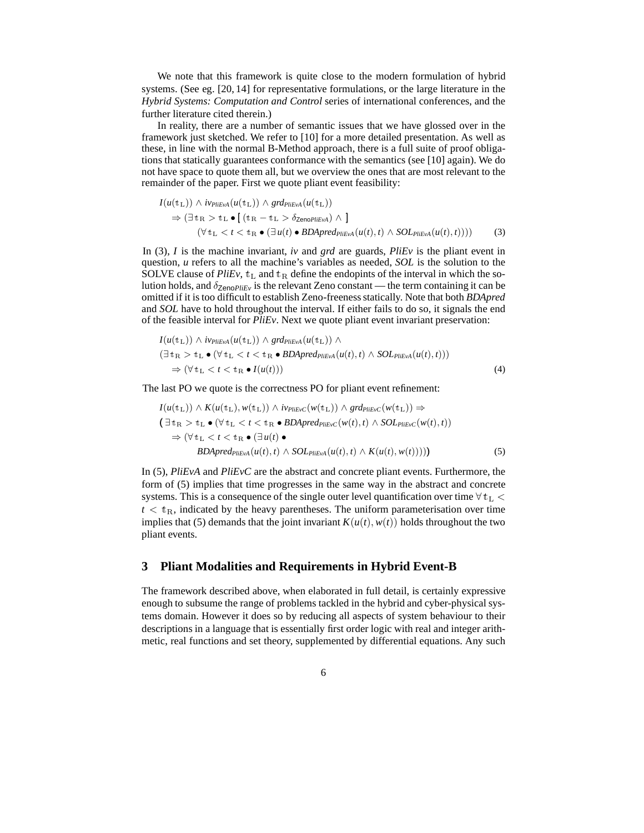We note that this framework is quite close to the modern formulation of hybrid systems. (See eg. [20, 14] for representative formulations, or the large literature in the *Hybrid Systems: Computation and Control* series of international conferences, and the further literature cited therein.)

In reality, there are a number of semantic issues that we have glossed over in the framework just sketched. We refer to [10] for a more detailed presentation. As well as these, in line with the normal B-Method approach, there is a full suite of proof obligations that statically guarantees conformance with the semantics (see [10] again). We do not have space to quote them all, but we overview the ones that are most relevant to the remainder of the paper. First we quote pliant event feasibility:

$$
I(u(\text{t}_{\text{L}})) \wedge iv_{\text{PilEvA}}(u(\text{t}_{\text{L}})) \wedge \text{grd}_{\text{PilEvA}}(u(\text{t}_{\text{L}}))
$$
  
\n
$$
\Rightarrow (\exists \text{ t}_{\text{R}} > \text{ t}_{\text{L}} \bullet [(\text{ t}_{\text{R}} - \text{ t}_{\text{L}} > \delta_{\text{ZenoPilEvA}}) \wedge ]
$$
  
\n
$$
(\forall \text{ t}_{\text{L}} < t < \text{ t}_{\text{R}} \bullet (\exists u(t) \bullet \text{BDAppend}_{\text{PilEvA}}(u(t), t) \wedge \text{SOL}_{\text{PilEvA}}(u(t), t)))) \qquad (3)
$$

In (3), *I* is the machine invariant, *iv* and *grd* are guards, *PliEv* is the pliant event in question, *u* refers to all the machine's variables as needed, *SOL* is the solution to the SOLVE clause of  $PliEv$ ,  $t<sub>L</sub>$  and  $t<sub>R</sub>$  define the endopints of the interval in which the solution holds, and  $\delta_{\text{Zeno}\textit{Pi}\textit{Ev}}$  is the relevant Zeno constant — the term containing it can be omitted if it is too difficult to establish Zeno-freeness statically. Note that both *BDApred* and *SOL* have to hold throughout the interval. If either fails to do so, it signals the end of the feasible interval for *PliEv*. Next we quote pliant event invariant preservation:

$$
I(u(\text{t}_{\text{L}})) \wedge iv_{\text{PilEVA}}(u(\text{t}_{\text{L}})) \wedge grd_{\text{PilEVA}}(u(\text{t}_{\text{L}})) \wedge (\exists \text{ t}_{\text{R}} > t_{\text{L}} \bullet (\forall \text{ t}_{\text{L}} < t < t_{\text{R}} \bullet BD\text{APred}_{\text{PilEVA}}(u(t), t) \wedge SOL_{\text{PilEVA}}(u(t), t))) \Rightarrow (\forall \text{ t}_{\text{L}} < t < t_{\text{R}} \bullet I(u(t)))
$$
\n(4)

The last PO we quote is the correctness PO for pliant event refinement:

$$
I(u(\mathbf{t}_{\mathrm{L}})) \wedge K(u(\mathbf{t}_{\mathrm{L}}), w(\mathbf{t}_{\mathrm{L}})) \wedge iv_{\text{PIiEvC}}(w(\mathbf{t}_{\mathrm{L}})) \wedge \text{grd}_{\text{PIiEvC}}(w(\mathbf{t}_{\mathrm{L}})) \Rightarrow (\exists \mathbf{t}_{\mathrm{R}} > \mathbf{t}_{\mathrm{L}} \bullet (\forall \mathbf{t}_{\mathrm{L}} < t < \mathbf{t}_{\mathrm{R}} \bullet \text{BDAppend}_{\text{PIiEvC}}(w(t), t) \wedge \text{SOL}_{\text{PIiEvC}}(w(t), t)) \Rightarrow (\forall \mathbf{t}_{\mathrm{L}} < t < \mathbf{t}_{\mathrm{R}} \bullet (\exists u(t) \bullet \text{BDAppend}_{\text{PIiEvA}}(u(t), t) \wedge \text{SOL}_{\text{PIiEvA}}(u(t), t) \wedge K(u(t), w(t))))
$$
(5)

In (5), *PliEvA* and *PliEvC* are the abstract and concrete pliant events. Furthermore, the form of (5) implies that time progresses in the same way in the abstract and concrete systems. This is a consequence of the single outer level quantification over time  $\forall t_L$  $t < t<sub>R</sub>$ , indicated by the heavy parentheses. The uniform parameterisation over time implies that (5) demands that the joint invariant  $K(u(t), w(t))$  holds throughout the two pliant events.

### **3 Pliant Modalities and Requirements in Hybrid Event-B**

The framework described above, when elaborated in full detail, is certainly expressive enough to subsume the range of problems tackled in the hybrid and cyber-physical systems domain. However it does so by reducing all aspects of system behaviour to their descriptions in a language that is essentially first order logic with real and integer arithmetic, real functions and set theory, supplemented by differential equations. Any such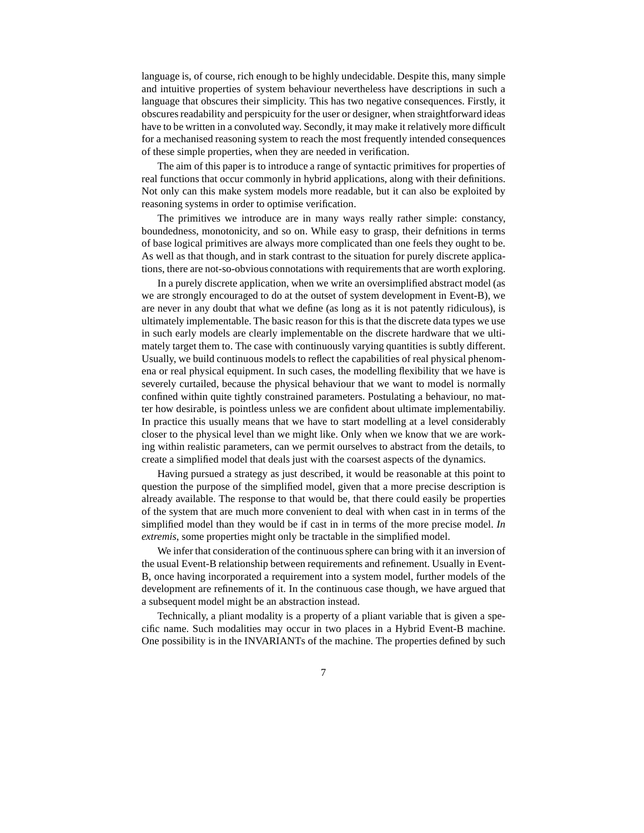language is, of course, rich enough to be highly undecidable. Despite this, many simple and intuitive properties of system behaviour nevertheless have descriptions in such a language that obscures their simplicity. This has two negative consequences. Firstly, it obscures readability and perspicuity for the user or designer, when straightforward ideas have to be written in a convoluted way. Secondly, it may make it relatively more difficult for a mechanised reasoning system to reach the most frequently intended consequences of these simple properties, when they are needed in verification.

The aim of this paper is to introduce a range of syntactic primitives for properties of real functions that occur commonly in hybrid applications, along with their definitions. Not only can this make system models more readable, but it can also be exploited by reasoning systems in order to optimise verification.

The primitives we introduce are in many ways really rather simple: constancy, boundedness, monotonicity, and so on. While easy to grasp, their defnitions in terms of base logical primitives are always more complicated than one feels they ought to be. As well as that though, and in stark contrast to the situation for purely discrete applications, there are not-so-obvious connotations with requirements that are worth exploring.

In a purely discrete application, when we write an oversimplified abstract model (as we are strongly encouraged to do at the outset of system development in Event-B), we are never in any doubt that what we define (as long as it is not patently ridiculous), is ultimately implementable. The basic reason for this is that the discrete data types we use in such early models are clearly implementable on the discrete hardware that we ultimately target them to. The case with continuously varying quantities is subtly different. Usually, we build continuous models to reflect the capabilities of real physical phenomena or real physical equipment. In such cases, the modelling flexibility that we have is severely curtailed, because the physical behaviour that we want to model is normally confined within quite tightly constrained parameters. Postulating a behaviour, no matter how desirable, is pointless unless we are confident about ultimate implementabiliy. In practice this usually means that we have to start modelling at a level considerably closer to the physical level than we might like. Only when we know that we are working within realistic parameters, can we permit ourselves to abstract from the details, to create a simplified model that deals just with the coarsest aspects of the dynamics.

Having pursued a strategy as just described, it would be reasonable at this point to question the purpose of the simplified model, given that a more precise description is already available. The response to that would be, that there could easily be properties of the system that are much more convenient to deal with when cast in in terms of the simplified model than they would be if cast in in terms of the more precise model. *In extremis*, some properties might only be tractable in the simplified model.

We infer that consideration of the continuous sphere can bring with it an inversion of the usual Event-B relationship between requirements and refinement. Usually in Event-B, once having incorporated a requirement into a system model, further models of the development are refinements of it. In the continuous case though, we have argued that a subsequent model might be an abstraction instead.

Technically, a pliant modality is a property of a pliant variable that is given a specific name. Such modalities may occur in two places in a Hybrid Event-B machine. One possibility is in the INVARIANTs of the machine. The properties defined by such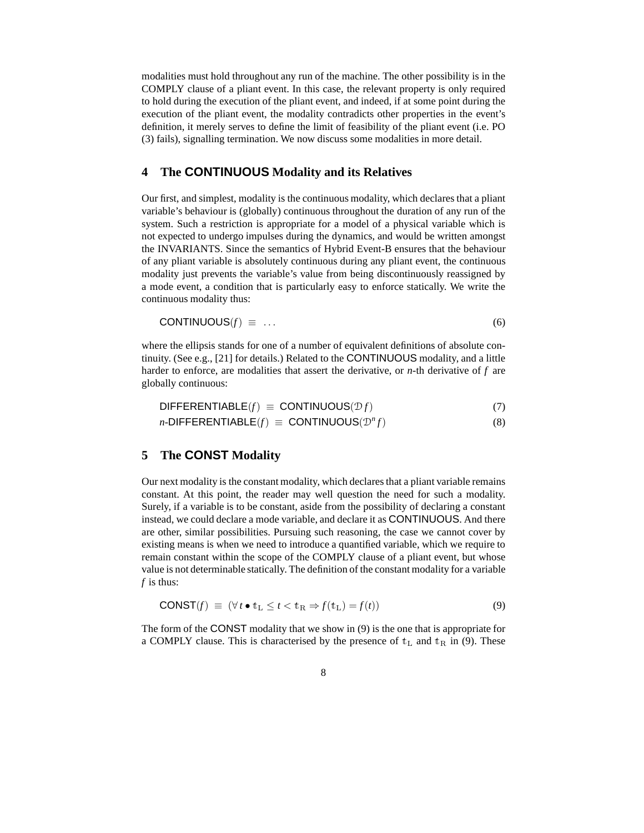modalities must hold throughout any run of the machine. The other possibility is in the COMPLY clause of a pliant event. In this case, the relevant property is only required to hold during the execution of the pliant event, and indeed, if at some point during the execution of the pliant event, the modality contradicts other properties in the event's definition, it merely serves to define the limit of feasibility of the pliant event (i.e. PO (3) fails), signalling termination. We now discuss some modalities in more detail.

# **4 The CONTINUOUS Modality and its Relatives**

Our first, and simplest, modality is the continuous modality, which declares that a pliant variable's behaviour is (globally) continuous throughout the duration of any run of the system. Such a restriction is appropriate for a model of a physical variable which is not expected to undergo impulses during the dynamics, and would be written amongst the INVARIANTS. Since the semantics of Hybrid Event-B ensures that the behaviour of any pliant variable is absolutely continuous during any pliant event, the continuous modality just prevents the variable's value from being discontinuously reassigned by a mode event, a condition that is particularly easy to enforce statically. We write the continuous modality thus:

$$
CONTINUOUS(f) \equiv \dots \tag{6}
$$

where the ellipsis stands for one of a number of equivalent definitions of absolute continuity. (See e.g., [21] for details.) Related to the CONTINUOUS modality, and a little harder to enforce, are modalities that assert the derivative, or *n*-th derivative of *f* are globally continuous:

**DIFFERENTIALE**(*f*) 
$$
\equiv
$$
 **CONTINUOUS**(*Df*)

\n*n*-DIFFERENTIALE(*f*)  $\equiv$  **CONTINUOUS**(*D<sup>n</sup>f*)

\n(8)

# **5 The CONST Modality**

Our next modality is the constant modality, which declares that a pliant variable remains constant. At this point, the reader may well question the need for such a modality. Surely, if a variable is to be constant, aside from the possibility of declaring a constant instead, we could declare a mode variable, and declare it as CONTINUOUS. And there are other, similar possibilities. Pursuing such reasoning, the case we cannot cover by existing means is when we need to introduce a quantified variable, which we require to remain constant within the scope of the COMPLY clause of a pliant event, but whose value is not determinable statically. The definition of the constant modality for a variable *f* is thus:

$$
CONF(f) \equiv (\forall t \bullet t_L \le t < t_R \Rightarrow f(t_L) = f(t))
$$
\n(9)

The form of the CONST modality that we show in (9) is the one that is appropriate for a COMPLY clause. This is characterised by the presence of  $t_L$  and  $t_R$  in (9). These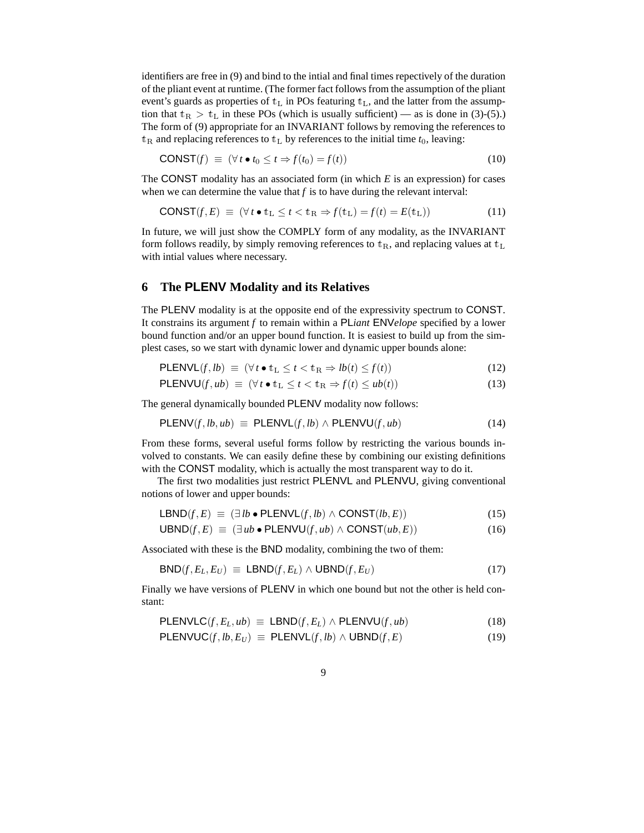identifiers are free in (9) and bind to the intial and final times repectively of the duration of the pliant event at runtime. (The former fact follows from the assumption of the pliant event's guards as properties of  $t_L$  in POs featuring  $t_L$ , and the latter from the assumption that  $t_R > t_L$  in these POs (which is usually sufficient) — as is done in (3)-(5).) The form of (9) appropriate for an INVARIANT follows by removing the references to  $t<sub>R</sub>$  and replacing references to  $t<sub>L</sub>$  by references to the initial time  $t<sub>0</sub>$ , leaving:

$$
CONF(f) \equiv (\forall t \bullet t_0 \le t \Rightarrow f(t_0) = f(t)) \tag{10}
$$

The CONST modality has an associated form (in which *E* is an expression) for cases when we can determine the value that  $f$  is to have during the relevant interval:

$$
CONF(f, E) \equiv (\forall t \bullet t_L \le t < t_R \Rightarrow f(t_L) = f(t) = E(t_L))
$$
\n(11)

In future, we will just show the COMPLY form of any modality, as the INVARIANT form follows readily, by simply removing references to  $t<sub>R</sub>$ , and replacing values at  $t<sub>L</sub>$ with intial values where necessary.

### **6 The PLENV Modality and its Relatives**

The PLENV modality is at the opposite end of the expressivity spectrum to CONST. It constrains its argument *f* to remain within a PL*iant* ENV*elope* specified by a lower bound function and/or an upper bound function. It is easiest to build up from the simplest cases, so we start with dynamic lower and dynamic upper bounds alone:

$$
PLENVL(f, lb) \equiv (\forall t \bullet t_L \le t < t_R \Rightarrow lb(t) \le f(t)) \tag{12}
$$

$$
PLENVU(f, ub) \equiv (\forall t \bullet t_L \le t < t_R \Rightarrow f(t) \le ub(t)) \tag{13}
$$

The general dynamically bounded PLENV modality now follows:

$$
PLENV(f, lb, ub) \equiv PLENVL(f, lb) \land PLENVU(f, ub)
$$
\n(14)

From these forms, several useful forms follow by restricting the various bounds involved to constants. We can easily define these by combining our existing definitions with the CONST modality, which is actually the most transparent way to do it.

The first two modalities just restrict PLENVL and PLENVU, giving conventional notions of lower and upper bounds:

$$
LBND(f, E) \equiv (\exists \, lb \bullet PLENVL(f, lb) \land CONST(lb, E)) \tag{15}
$$

$$
UBND(f, E) \equiv (\exists \, ub \bullet \, PLENVU(f, ub) \land CONST(ub, E)) \tag{16}
$$

Associated with these is the BND modality, combining the two of them:

$$
BND(f, E_L, E_U) \equiv \text{LBND}(f, E_L) \land \text{UBND}(f, E_U) \tag{17}
$$

Finally we have versions of PLENV in which one bound but not the other is held constant:

$$
PLEMENTLC(f, E_L, ub) \equiv LBND(f, E_L) \land PLENVU(f, ub)
$$
\n(18)

$$
PLEMENTUC(f, lb, E_U) \equiv PLENVL(f, lb) \land UBND(f, E) \tag{19}
$$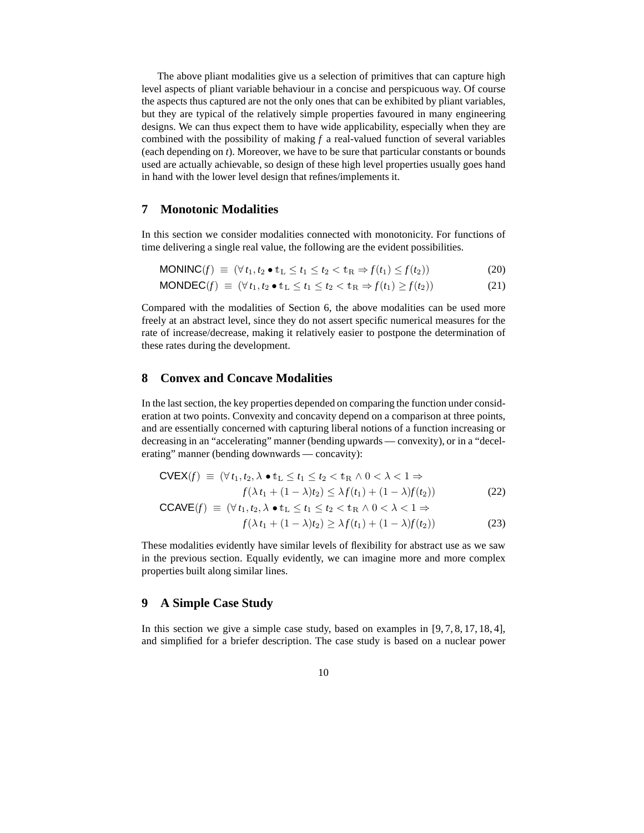The above pliant modalities give us a selection of primitives that can capture high level aspects of pliant variable behaviour in a concise and perspicuous way. Of course the aspects thus captured are not the only ones that can be exhibited by pliant variables, but they are typical of the relatively simple properties favoured in many engineering designs. We can thus expect them to have wide applicability, especially when they are combined with the possibility of making *f* a real-valued function of several variables (each depending on *t*). Moreover, we have to be sure that particular constants or bounds used are actually achievable, so design of these high level properties usually goes hand in hand with the lower level design that refines/implements it.

## **7 Monotonic Modalities**

In this section we consider modalities connected with monotonicity. For functions of time delivering a single real value, the following are the evident possibilities.

$$
MONINC(f) \equiv (\forall t_1, t_2 \bullet t_L \le t_1 \le t_2 < t_R \Rightarrow f(t_1) \le f(t_2))
$$
\n(20)

$$
MONDEC(f) \equiv (\forall t_1, t_2 \bullet t_L \le t_1 \le t_2 < t_R \Rightarrow f(t_1) \ge f(t_2))
$$
\n(21)

Compared with the modalities of Section 6, the above modalities can be used more freely at an abstract level, since they do not assert specific numerical measures for the rate of increase/decrease, making it relatively easier to postpone the determination of these rates during the development.

#### **8 Convex and Concave Modalities**

In the last section, the key properties depended on comparing the function under consideration at two points. Convexity and concavity depend on a comparison at three points, and are essentially concerned with capturing liberal notions of a function increasing or decreasing in an "accelerating" manner (bending upwards — convexity), or in a "decelerating" manner (bending downwards — concavity):

$$
CVEX(f) \equiv (\forall t_1, t_2, \lambda \bullet t_L \le t_1 \le t_2 < t_R \land 0 < \lambda < 1 \Rightarrow
$$
  
\n
$$
f(\lambda t_1 + (1 - \lambda)t_2) \le \lambda f(t_1) + (1 - \lambda)f(t_2)
$$
\n
$$
CCAVE(f) \equiv (\forall t_1, t_2, \lambda \bullet t_L \le t_1 \le t_2 < t_R \land 0 < \lambda < 1 \Rightarrow
$$
\n(22)

$$
f(\lambda t_1 + (1 - \lambda)t_2) \ge \lambda f(t_1) + (1 - \lambda)f(t_2)
$$
\n(23)

These modalities evidently have similar levels of flexibility for abstract use as we saw in the previous section. Equally evidently, we can imagine more and more complex properties built along similar lines.

### **9 A Simple Case Study**

In this section we give a simple case study, based on examples in  $[9, 7, 8, 17, 18, 4]$ , and simplified for a briefer description. The case study is based on a nuclear power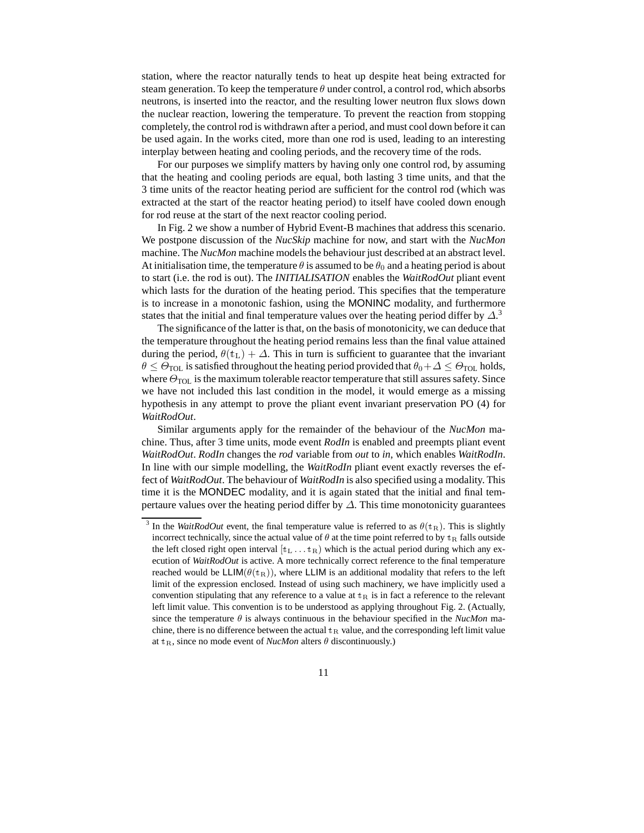station, where the reactor naturally tends to heat up despite heat being extracted for steam generation. To keep the temperature  $\theta$  under control, a control rod, which absorbs neutrons, is inserted into the reactor, and the resulting lower neutron flux slows down the nuclear reaction, lowering the temperature. To prevent the reaction from stopping completely, the control rod is withdrawn after a period, and must cool down before it can be used again. In the works cited, more than one rod is used, leading to an interesting interplay between heating and cooling periods, and the recovery time of the rods.

For our purposes we simplify matters by having only one control rod, by assuming that the heating and cooling periods are equal, both lasting 3 time units, and that the 3 time units of the reactor heating period are sufficient for the control rod (which was extracted at the start of the reactor heating period) to itself have cooled down enough for rod reuse at the start of the next reactor cooling period.

In Fig. 2 we show a number of Hybrid Event-B machines that address this scenario. We postpone discussion of the *NucSkip* machine for now, and start with the *NucMon* machine. The *NucMon* machine models the behaviour just described at an abstract level. At initialisation time, the temperature  $\theta$  is assumed to be  $\theta_0$  and a heating period is about to start (i.e. the rod is out). The *INITIALISATION* enables the *WaitRodOut* pliant event which lasts for the duration of the heating period. This specifies that the temperature is to increase in a monotonic fashion, using the MONINC modality, and furthermore states that the initial and final temperature values over the heating period differ by  $\Delta$ .<sup>3</sup>

The significance of the latter is that, on the basis of monotonicity, we can deduce that the temperature throughout the heating period remains less than the final value attained during the period,  $\theta(t_L) + \Delta$ . This in turn is sufficient to guarantee that the invariant  $\theta \leq \Theta_{\text{TOL}}$  is satisfied throughout the heating period provided that  $\theta_0 + \Delta \leq \Theta_{\text{TOL}}$  holds, where  $\Theta_{\text{TOL}}$  is the maximum tolerable reactor temperature that still assures safety. Since we have not included this last condition in the model, it would emerge as a missing hypothesis in any attempt to prove the pliant event invariant preservation PO (4) for *WaitRodOut*.

Similar arguments apply for the remainder of the behaviour of the *NucMon* machine. Thus, after 3 time units, mode event *RodIn* is enabled and preempts pliant event *WaitRodOut*. *RodIn* changes the *rod* variable from *out* to *in*, which enables *WaitRodIn*. In line with our simple modelling, the *WaitRodIn* pliant event exactly reverses the effect of *WaitRodOut*. The behaviour of *WaitRodIn* is also specified using a modality. This time it is the MONDEC modality, and it is again stated that the initial and final tempertaure values over the heating period differ by  $\Delta$ . This time monotonicity guarantees

<sup>&</sup>lt;sup>3</sup> In the *WaitRodOut* event, the final temperature value is referred to as  $\theta(\mathbf{t}_R)$ . This is slightly incorrect technically, since the actual value of  $\theta$  at the time point referred to by  $\mathbf{t}_R$  falls outside the left closed right open interval  $[t_L ... t_R)$  which is the actual period during which any execution of *WaitRodOut* is active. A more technically correct reference to the final temperature reached would be  $LLIM(\theta(t_R))$ , where LLIM is an additional modality that refers to the left limit of the expression enclosed. Instead of using such machinery, we have implicitly used a convention stipulating that any reference to a value at  $t<sub>R</sub>$  is in fact a reference to the relevant left limit value. This convention is to be understood as applying throughout Fig. 2. (Actually, since the temperature  $\theta$  is always continuous in the behaviour specified in the *NucMon* machine, there is no difference between the actual  $t_R$  value, and the corresponding left limit value at  $t<sub>R</sub>$ , since no mode event of *NucMon* alters  $\theta$  discontinuously.)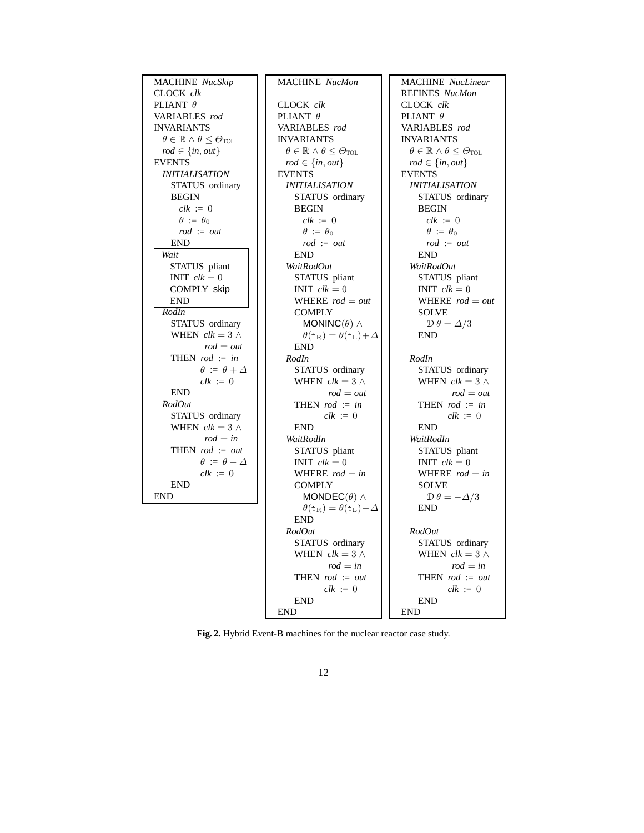| MACHINE NucSkip                                                | <b>MACHINE</b> NucMon                                          | <b>MACHINE</b> NucLinear                                       |
|----------------------------------------------------------------|----------------------------------------------------------------|----------------------------------------------------------------|
| CLOCK clk                                                      |                                                                | REFINES NucMon                                                 |
| PLIANT $\theta$                                                | CLOCK clk                                                      | CLOCK clk                                                      |
| VARIABLES rod                                                  | PLIANT $\theta$                                                | PLIANT $\theta$                                                |
| <b>INVARIANTS</b>                                              | VARIABLES rod                                                  | VARIABLES rod                                                  |
| $\theta \in \mathbb{R} \wedge \theta \leq \Theta_{\text{TOL}}$ | <b>INVARIANTS</b>                                              | <b>INVARIANTS</b>                                              |
| $rod \in \{in, out\}$                                          | $\theta \in \mathbb{R} \wedge \theta \leq \Theta_{\text{TOL}}$ | $\theta \in \mathbb{R} \wedge \theta \leq \Theta_{\text{TOL}}$ |
| <b>EVENTS</b>                                                  | $rod \in \{in, out\}$                                          | $rod \in \{in, out\}$                                          |
| <b>INITIALISATION</b>                                          | <b>EVENTS</b>                                                  | <b>EVENTS</b>                                                  |
| STATUS ordinary                                                | <b>INITIALISATION</b>                                          | <b>INITIALISATION</b>                                          |
| <b>BEGIN</b>                                                   | STATUS ordinary                                                | STATUS ordinary                                                |
| $clk := 0$                                                     | <b>BEGIN</b>                                                   | <b>BEGIN</b>                                                   |
| $\theta := \theta_0$                                           | $clk := 0$                                                     | $clk := 0$                                                     |
| $rod := out$                                                   | $\theta := \theta_0$                                           | $\theta := \theta_0$                                           |
| <b>END</b>                                                     | $rod := out$                                                   | $rod := out$                                                   |
| Wait                                                           | <b>END</b>                                                     | <b>END</b>                                                     |
| STATUS pliant                                                  | WaitRodOut                                                     | WaitRodOut                                                     |
| INIT $clk = 0$                                                 | STATUS pliant                                                  | STATUS pliant                                                  |
| COMPLY skip                                                    | INIT $clk = 0$                                                 | INIT $clk = 0$                                                 |
| <b>END</b>                                                     | WHERE $rod = out$                                              | WHERE $rod = out$                                              |
| RodIn                                                          | <b>COMPLY</b>                                                  | <b>SOLVE</b>                                                   |
| STATUS ordinary                                                | MONINC( $\theta$ ) $\wedge$                                    | $\mathcal{D}\theta = \Delta/3$                                 |
| WHEN $clk = 3 \wedge$                                          | $\theta(t_R) = \theta(t_L) + \Delta$                           | <b>END</b>                                                     |
| $rod = out$                                                    | <b>END</b>                                                     |                                                                |
| THEN $rod := in$                                               | RodIn                                                          | RodIn                                                          |
| $\theta := \theta + \Delta$                                    | STATUS ordinary                                                | STATUS ordinary                                                |
| $clk := 0$                                                     | WHEN $clk = 3 \wedge$                                          | WHEN $clk = 3 \wedge$                                          |
| <b>END</b>                                                     | $rod = out$                                                    | $rod = out$                                                    |
| <b>RodOut</b>                                                  | THEN $rod := in$                                               | THEN $rod := in$                                               |
| STATUS ordinary                                                | $clk := 0$                                                     | $clk := 0$                                                     |
| WHEN $clk = 3 \wedge$                                          | <b>END</b>                                                     | <b>END</b>                                                     |
| $rod = in$                                                     | WaitRodIn                                                      | WaitRodIn                                                      |
| THEN $rod := out$                                              | STATUS pliant                                                  | STATUS pliant                                                  |
| $\theta := \theta - \Delta$                                    | INIT $clk = 0$                                                 | INIT $clk = 0$                                                 |
| $clk := 0$                                                     | WHERE $rod = in$                                               | WHERE $rod = in$                                               |
| <b>END</b>                                                     | <b>COMPLY</b>                                                  | <b>SOLVE</b>                                                   |
| END                                                            | MONDEC( $\theta$ ) $\wedge$                                    | $\mathcal{D}\theta = -\Delta/3$                                |
|                                                                | $\theta(\mathbf{t}_R) = \theta(\mathbf{t}_L) - \Delta$         | <b>END</b>                                                     |
|                                                                | <b>END</b>                                                     |                                                                |
|                                                                | <b>RodOut</b>                                                  | <b>RodOut</b>                                                  |
|                                                                | STATUS ordinary                                                | STATUS ordinary                                                |
|                                                                | WHEN $clk = 3 \wedge$                                          | WHEN $clk = 3 \wedge$                                          |
|                                                                | $rod = in$                                                     | $rod = in$                                                     |
|                                                                | THEN $rod := out$                                              | THEN $rod := out$                                              |
|                                                                | $clk := 0$                                                     | $clk := 0$                                                     |
|                                                                | <b>END</b>                                                     | <b>END</b>                                                     |
|                                                                | <b>END</b>                                                     | <b>END</b>                                                     |

**Fig. 2.** Hybrid Event-B machines for the nuclear reactor case study.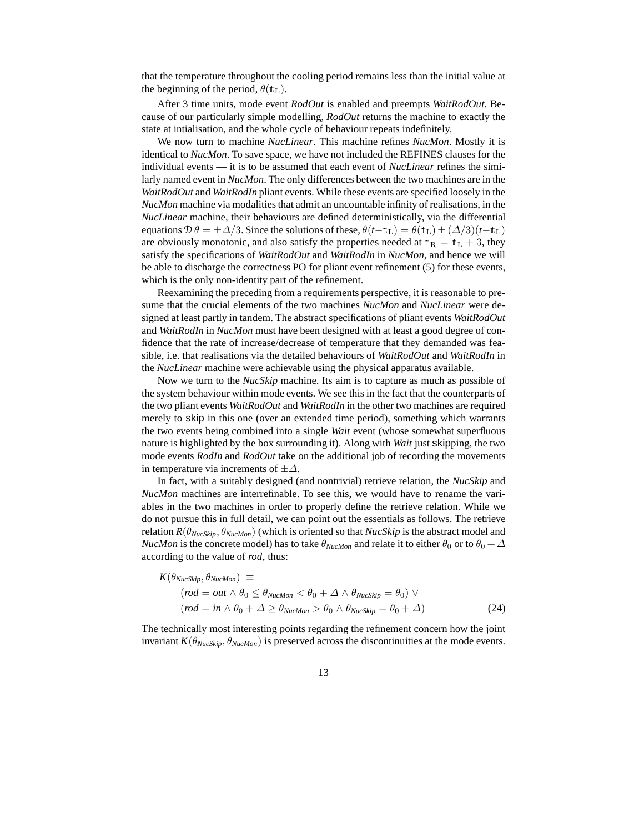that the temperature throughout the cooling period remains less than the initial value at the beginning of the period,  $\theta(t_L)$ .

After 3 time units, mode event *RodOut* is enabled and preempts *WaitRodOut*. Because of our particularly simple modelling, *RodOut* returns the machine to exactly the state at intialisation, and the whole cycle of behaviour repeats indefinitely.

We now turn to machine *NucLinear*. This machine refines *NucMon*. Mostly it is identical to *NucMon*. To save space, we have not included the REFINES clauses for the individual events — it is to be assumed that each event of *NucLinear* refines the similarly named event in *NucMon*. The only differences between the two machines are in the *WaitRodOut* and *WaitRodIn* pliant events. While these events are specified loosely in the *NucMon* machine via modalities that admit an uncountable infinity of realisations, in the *NucLinear* machine, their behaviours are defined deterministically, via the differential equations  $\mathcal{D} \theta = \pm \Delta/3$ . Since the solutions of these,  $\theta(t-\tau_L) = \theta(\tau_L) \pm (\Delta/3)(t-\tau_L)$ are obviously monotonic, and also satisfy the properties needed at  $t_R = t_L + 3$ , they satisfy the specifications of *WaitRodOut* and *WaitRodIn* in *NucMon*, and hence we will be able to discharge the correctness PO for pliant event refinement (5) for these events, which is the only non-identity part of the refinement.

Reexamining the preceding from a requirements perspective, it is reasonable to presume that the crucial elements of the two machines *NucMon* and *NucLinear* were designed at least partly in tandem. The abstract specifications of pliant events *WaitRodOut* and *WaitRodIn* in *NucMon* must have been designed with at least a good degree of confidence that the rate of increase/decrease of temperature that they demanded was feasible, i.e. that realisations via the detailed behaviours of *WaitRodOut* and *WaitRodIn* in the *NucLinear* machine were achievable using the physical apparatus available.

Now we turn to the *NucSkip* machine. Its aim is to capture as much as possible of the system behaviour within mode events. We see this in the fact that the counterparts of the two pliant events *WaitRodOut* and *WaitRodIn* in the other two machines are required merely to skip in this one (over an extended time period), something which warrants the two events being combined into a single *Wait* event (whose somewhat superfluous nature is highlighted by the box surrounding it). Along with *Wait* just skipping, the two mode events *RodIn* and *RodOut* take on the additional job of recording the movements in temperature via increments of  $\pm \Delta$ .

In fact, with a suitably designed (and nontrivial) retrieve relation, the *NucSkip* and *NucMon* machines are interrefinable. To see this, we would have to rename the variables in the two machines in order to properly define the retrieve relation. While we do not pursue this in full detail, we can point out the essentials as follows. The retrieve relation  $R(\theta_{NucSkip}, \theta_{NucMon})$  (which is oriented so that *NucSkip* is the abstract model and *NucMon* is the concrete model) has to take  $\theta_{NucMon}$  and relate it to either  $\theta_0$  or to  $\theta_0 + \Delta$ according to the value of *rod*, thus:

$$
K(\theta_{NucSkip}, \theta_{NucMon}) \equiv (rod = out \land \theta_0 \leq \theta_{NucMon} < \theta_0 + \Delta \land \theta_{NucSkip} = \theta_0) \lor (rod = in \land \theta_0 + \Delta \geq \theta_{NucMon} > \theta_0 \land \theta_{NucSkip} = \theta_0 + \Delta)
$$
(24)

The technically most interesting points regarding the refinement concern how the joint invariant  $K(\theta_{NucSkip}, \theta_{NucMon})$  is preserved across the discontinuities at the mode events.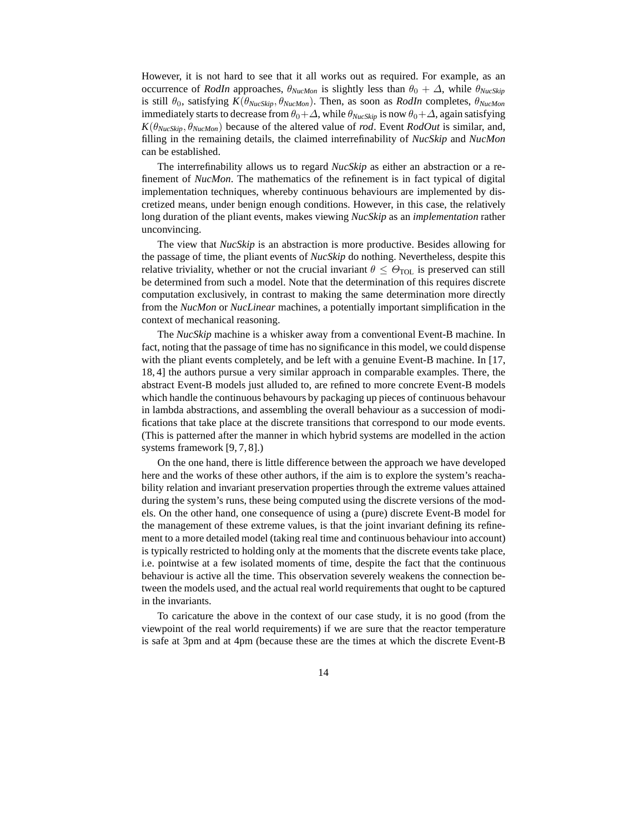However, it is not hard to see that it all works out as required. For example, as an occurrence of *RodIn* approaches,  $\theta_{NucMon}$  is slightly less than  $\theta_0 + \Delta$ , while  $\theta_{NucSkip}$ is still  $\theta_0$ , satisfying  $K(\theta_{NucSkip}, \theta_{NucMon})$ . Then, as soon as *RodIn* completes,  $\theta_{NucMon}$ immediately starts to decrease from  $\theta_0 + \Delta$ , while  $\theta_{NucSkip}$  is now  $\theta_0 + \Delta$ , again satisfying  $K(\theta_{NucSkip}, \theta_{NucMon})$  because of the altered value of *rod*. Event *RodOut* is similar, and, filling in the remaining details, the claimed interrefinability of *NucSkip* and *NucMon* can be established.

The interrefinability allows us to regard *NucSkip* as either an abstraction or a refinement of *NucMon*. The mathematics of the refinement is in fact typical of digital implementation techniques, whereby continuous behaviours are implemented by discretized means, under benign enough conditions. However, in this case, the relatively long duration of the pliant events, makes viewing *NucSkip* as an *implementation* rather unconvincing.

The view that *NucSkip* is an abstraction is more productive. Besides allowing for the passage of time, the pliant events of *NucSkip* do nothing. Nevertheless, despite this relative triviality, whether or not the crucial invariant  $\theta \leq \Theta_{\text{TOL}}$  is preserved can still be determined from such a model. Note that the determination of this requires discrete computation exclusively, in contrast to making the same determination more directly from the *NucMon* or *NucLinear* machines, a potentially important simplification in the context of mechanical reasoning.

The *NucSkip* machine is a whisker away from a conventional Event-B machine. In fact, noting that the passage of time has no significance in this model, we could dispense with the pliant events completely, and be left with a genuine Event-B machine. In [17, 18, 4] the authors pursue a very similar approach in comparable examples. There, the abstract Event-B models just alluded to, are refined to more concrete Event-B models which handle the continuous behavours by packaging up pieces of continuous behavour in lambda abstractions, and assembling the overall behaviour as a succession of modifications that take place at the discrete transitions that correspond to our mode events. (This is patterned after the manner in which hybrid systems are modelled in the action systems framework [9, 7, 8].)

On the one hand, there is little difference between the approach we have developed here and the works of these other authors, if the aim is to explore the system's reachability relation and invariant preservation properties through the extreme values attained during the system's runs, these being computed using the discrete versions of the models. On the other hand, one consequence of using a (pure) discrete Event-B model for the management of these extreme values, is that the joint invariant defining its refinement to a more detailed model (taking real time and continuous behaviour into account) is typically restricted to holding only at the moments that the discrete events take place, i.e. pointwise at a few isolated moments of time, despite the fact that the continuous behaviour is active all the time. This observation severely weakens the connection between the models used, and the actual real world requirements that ought to be captured in the invariants.

To caricature the above in the context of our case study, it is no good (from the viewpoint of the real world requirements) if we are sure that the reactor temperature is safe at 3pm and at 4pm (because these are the times at which the discrete Event-B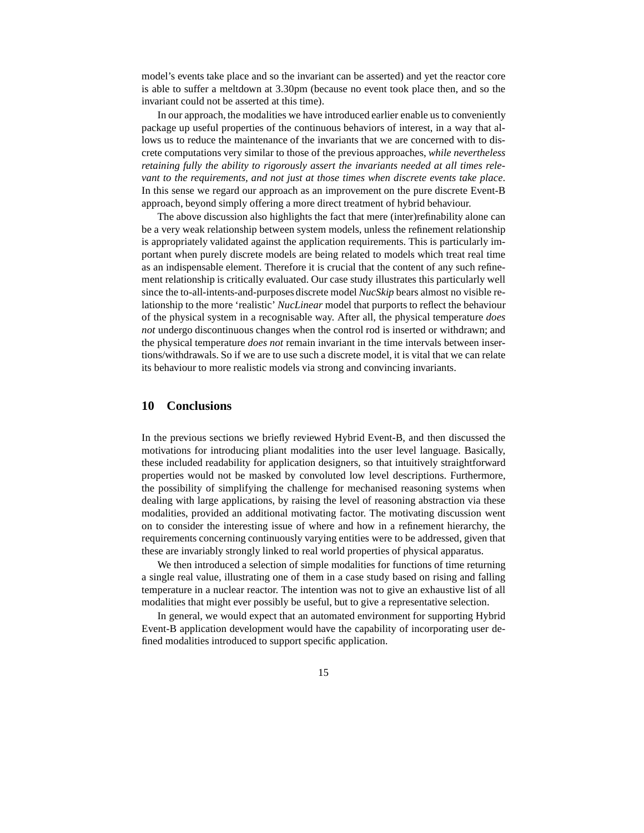model's events take place and so the invariant can be asserted) and yet the reactor core is able to suffer a meltdown at 3.30pm (because no event took place then, and so the invariant could not be asserted at this time).

In our approach, the modalities we have introduced earlier enable us to conveniently package up useful properties of the continuous behaviors of interest, in a way that allows us to reduce the maintenance of the invariants that we are concerned with to discrete computations very similar to those of the previous approaches, *while nevertheless retaining fully the ability to rigorously assert the invariants needed at all times relevant to the requirements, and not just at those times when discrete events take place*. In this sense we regard our approach as an improvement on the pure discrete Event-B approach, beyond simply offering a more direct treatment of hybrid behaviour.

The above discussion also highlights the fact that mere (inter)refinability alone can be a very weak relationship between system models, unless the refinement relationship is appropriately validated against the application requirements. This is particularly important when purely discrete models are being related to models which treat real time as an indispensable element. Therefore it is crucial that the content of any such refinement relationship is critically evaluated. Our case study illustrates this particularly well since the to-all-intents-and-purposes discrete model *NucSkip* bears almost no visible relationship to the more 'realistic' *NucLinear* model that purports to reflect the behaviour of the physical system in a recognisable way. After all, the physical temperature *does not* undergo discontinuous changes when the control rod is inserted or withdrawn; and the physical temperature *does not* remain invariant in the time intervals between insertions/withdrawals. So if we are to use such a discrete model, it is vital that we can relate its behaviour to more realistic models via strong and convincing invariants.

#### **10 Conclusions**

In the previous sections we briefly reviewed Hybrid Event-B, and then discussed the motivations for introducing pliant modalities into the user level language. Basically, these included readability for application designers, so that intuitively straightforward properties would not be masked by convoluted low level descriptions. Furthermore, the possibility of simplifying the challenge for mechanised reasoning systems when dealing with large applications, by raising the level of reasoning abstraction via these modalities, provided an additional motivating factor. The motivating discussion went on to consider the interesting issue of where and how in a refinement hierarchy, the requirements concerning continuously varying entities were to be addressed, given that these are invariably strongly linked to real world properties of physical apparatus.

We then introduced a selection of simple modalities for functions of time returning a single real value, illustrating one of them in a case study based on rising and falling temperature in a nuclear reactor. The intention was not to give an exhaustive list of all modalities that might ever possibly be useful, but to give a representative selection.

In general, we would expect that an automated environment for supporting Hybrid Event-B application development would have the capability of incorporating user defined modalities introduced to support specific application.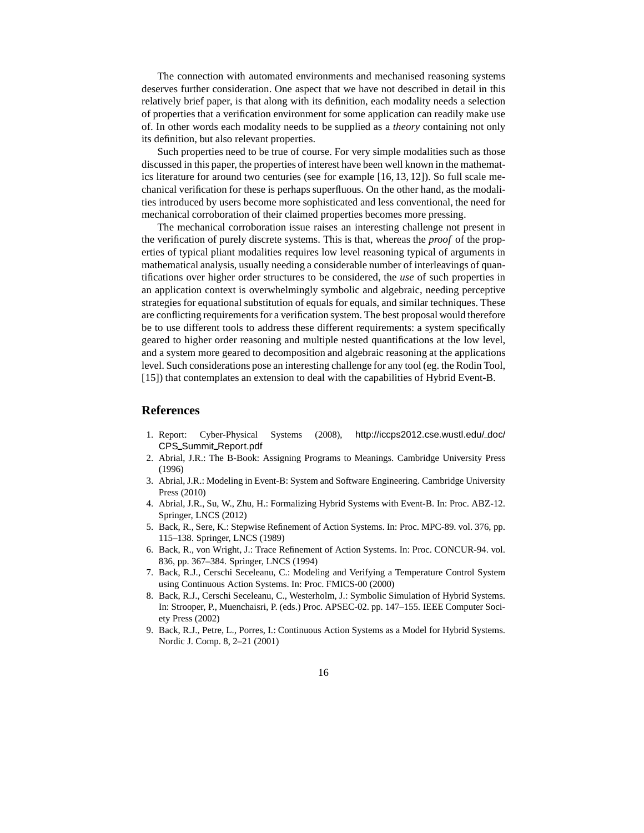The connection with automated environments and mechanised reasoning systems deserves further consideration. One aspect that we have not described in detail in this relatively brief paper, is that along with its definition, each modality needs a selection of properties that a verification environment for some application can readily make use of. In other words each modality needs to be supplied as a *theory* containing not only its definition, but also relevant properties.

Such properties need to be true of course. For very simple modalities such as those discussed in this paper, the properties of interest have been well known in the mathematics literature for around two centuries (see for example [16, 13, 12]). So full scale mechanical verification for these is perhaps superfluous. On the other hand, as the modalities introduced by users become more sophisticated and less conventional, the need for mechanical corroboration of their claimed properties becomes more pressing.

The mechanical corroboration issue raises an interesting challenge not present in the verification of purely discrete systems. This is that, whereas the *proof* of the properties of typical pliant modalities requires low level reasoning typical of arguments in mathematical analysis, usually needing a considerable number of interleavings of quantifications over higher order structures to be considered, the *use* of such properties in an application context is overwhelmingly symbolic and algebraic, needing perceptive strategies for equational substitution of equals for equals, and similar techniques. These are conflicting requirements for a verification system. The best proposal would therefore be to use different tools to address these different requirements: a system specifically geared to higher order reasoning and multiple nested quantifications at the low level, and a system more geared to decomposition and algebraic reasoning at the applications level. Such considerations pose an interesting challenge for any tool (eg. the Rodin Tool, [15]) that contemplates an extension to deal with the capabilities of Hybrid Event-B.

#### **References**

- 1. Report: Cyber-Physical Systems (2008), http://iccps2012.cse.wustl.edu/ doc/ CPS Summit Report.pdf
- 2. Abrial, J.R.: The B-Book: Assigning Programs to Meanings. Cambridge University Press (1996)
- 3. Abrial, J.R.: Modeling in Event-B: System and Software Engineering. Cambridge University Press (2010)
- 4. Abrial, J.R., Su, W., Zhu, H.: Formalizing Hybrid Systems with Event-B. In: Proc. ABZ-12. Springer, LNCS (2012)
- 5. Back, R., Sere, K.: Stepwise Refinement of Action Systems. In: Proc. MPC-89. vol. 376, pp. 115–138. Springer, LNCS (1989)
- 6. Back, R., von Wright, J.: Trace Refinement of Action Systems. In: Proc. CONCUR-94. vol. 836, pp. 367–384. Springer, LNCS (1994)
- 7. Back, R.J., Cerschi Seceleanu, C.: Modeling and Verifying a Temperature Control System using Continuous Action Systems. In: Proc. FMICS-00 (2000)
- 8. Back, R.J., Cerschi Seceleanu, C., Westerholm, J.: Symbolic Simulation of Hybrid Systems. In: Strooper, P., Muenchaisri, P. (eds.) Proc. APSEC-02. pp. 147–155. IEEE Computer Society Press (2002)
- 9. Back, R.J., Petre, L., Porres, I.: Continuous Action Systems as a Model for Hybrid Systems. Nordic J. Comp. 8, 2–21 (2001)